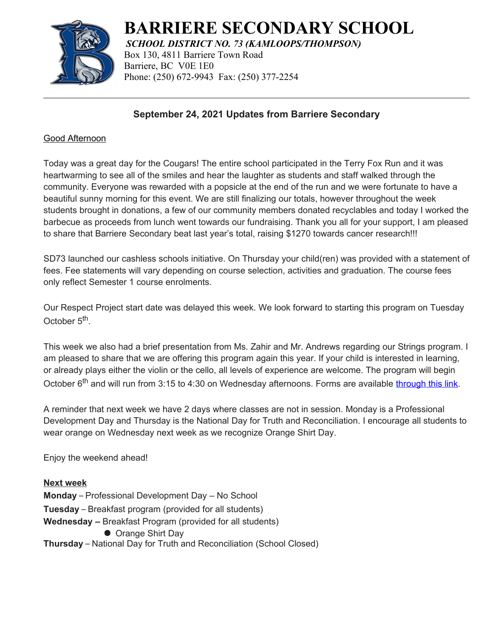

# **BARRIERE SECONDARY SCHOOL**

*SCHOOL DISTRICT NO. 73 (KAMLOOPS/THOMPSON)* Box 130, 4811 Barriere Town Road Barriere, BC V0E 1E0 Phone: (250) 672-9943 Fax: (250) 377-2254

## **September 24, 2021 Updates from Barriere Secondary**

## Good Afternoon

Today was a great day for the Cougars! The entire school participated in the Terry Fox Run and it was heartwarming to see all of the smiles and hear the laughter as students and staff walked through the community. Everyone was rewarded with a popsicle at the end of the run and we were fortunate to have a beautiful sunny morning for this event. We are still finalizing our totals, however throughout the week students brought in donations, a few of our community members donated recyclables and today I worked the barbecue as proceeds from lunch went towards our fundraising. Thank you all for your support, I am pleased to share that Barriere Secondary beat last year's total, raising \$1270 towards cancer research!!!

SD73 launched our cashless schools initiative. On Thursday your child(ren) was provided with a statement of fees. Fee statements will vary depending on course selection, activities and graduation. The course fees only reflect Semester 1 course enrolments.

Our Respect Project start date was delayed this week. We look forward to starting this program on Tuesday October 5<sup>th</sup>.

This week we also had a brief presentation from Ms. Zahir and Mr. Andrews regarding our Strings program. I am pleased to share that we are offering this program again this year. If your child is interested in learning, or already plays either the violin or the cello, all levels of experience are welcome. The program will begin October  $6<sup>th</sup>$  and will run from 3:15 to 4:30 on Wednesday afternoons. Forms are available [through this link](https://barrsec.sd73.bc.ca/en/our-schools-programs/strings-program.aspx).

A reminder that next week we have 2 days where classes are not in session. Monday is a Professional Development Day and Thursday is the National Day for Truth and Reconciliation. I encourage all students to wear orange on Wednesday next week as we recognize Orange Shirt Day.

Enjoy the weekend ahead!

**Next week Monday** – Professional Development Day – No School **Tuesday** – Breakfast program (provided for all students) **Wednesday –** Breakfast Program (provided for all students) ● Orange Shirt Day **Thursday** – National Day for Truth and Reconciliation (School Closed)